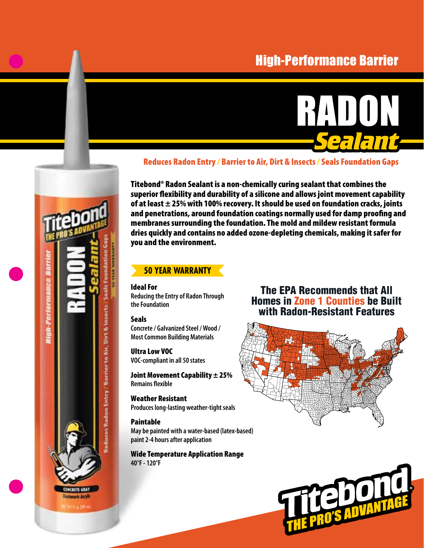# High-Performance Barrier



#### Reduces Radon Entry / Barrier to Air, Dirt & Insects / Seals Foundation Gaps

Titebond® Radon Sealant is a non-chemically curing sealant that combines the superior flexibility and durability of a silicone and allows joint movement capability of at least  $\pm$  25% with 100% recovery. It should be used on foundation cracks, joints and penetrations, around foundation coatings normally used for damp proofing and membranes surrounding the foundation. The mold and mildew resistant formula dries quickly and contains no added ozone-depleting chemicals, making it safer for you and the environment.

### **50 YEAR WARRANTY**

Ideal For **Reducing the Entry of Radon Through the Foundation**

#### Seals

ces Radon Entry / Barrier to Air, Dirt & Insects

**Concrete / Galvanized Steel / Wood / Most Common Building Materials**

Ultra Low VOC **VOC-compliant in all 50 states**

Joint Movement Capability  $\pm 25\%$ **Remains flexible**

Weather Resistant **Produces long-lasting weather-tight seals**

Paintable **May be painted with a water-based (latex-based) paint 2-4 hours after application**

Wide Temperature Application Range **40°F - 120°F**

## The EPA Recommends that All Homes in Zone 1 Counties be Built with Radon-Resistant Features